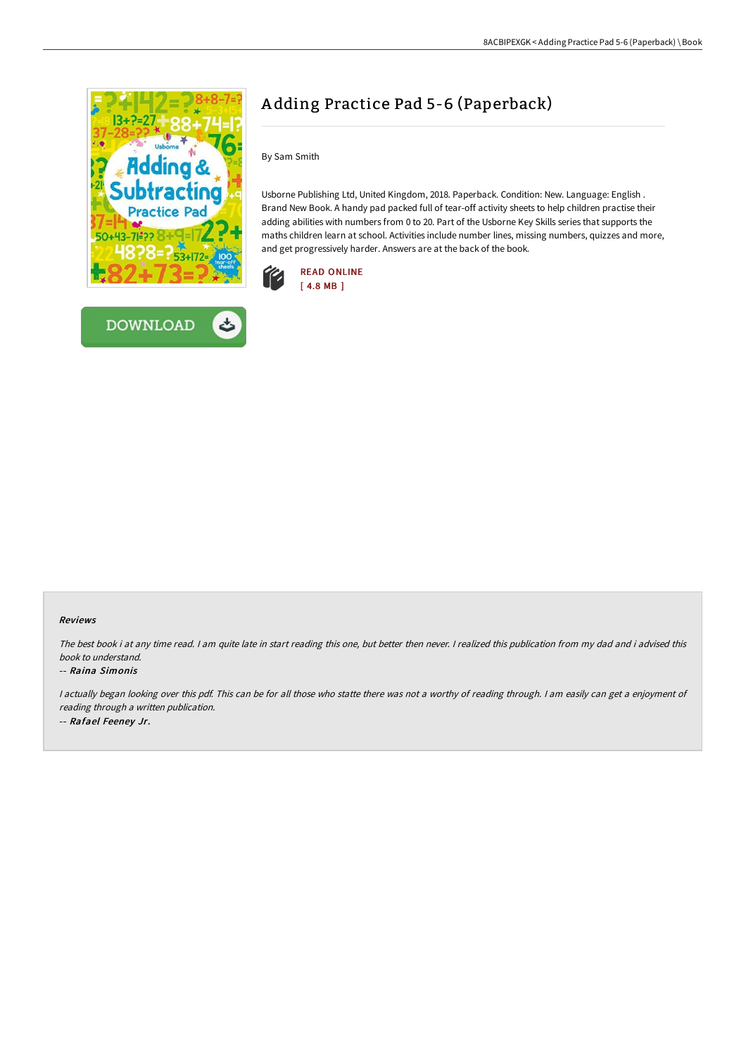



# A dding Practice Pad 5-6 (Paperback)

By Sam Smith

Usborne Publishing Ltd, United Kingdom, 2018. Paperback. Condition: New. Language: English . Brand New Book. A handy pad packed full of tear-off activity sheets to help children practise their adding abilities with numbers from 0 to 20. Part of the Usborne Key Skills series that supports the maths children learn at school. Activities include number lines, missing numbers, quizzes and more, and get progressively harder. Answers are at the back of the book.



### Reviews

The best book i at any time read. <sup>I</sup> am quite late in start reading this one, but better then never. <sup>I</sup> realized this publication from my dad and i advised this book to understand.

#### -- Raina Simonis

<sup>I</sup> actually began looking over this pdf. This can be for all those who statte there was not <sup>a</sup> worthy of reading through. <sup>I</sup> am easily can get <sup>a</sup> enjoyment of reading through <sup>a</sup> written publication. -- Rafael Feeney Jr.